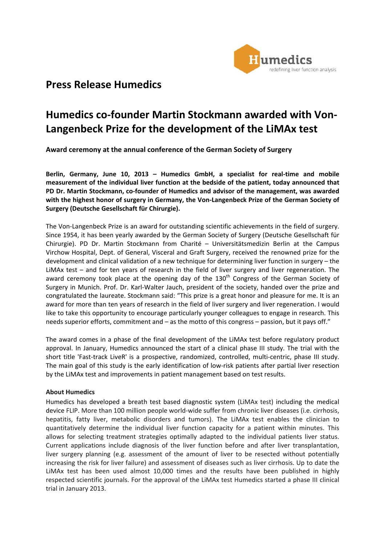

# **Press Release Humedics**

# **Humedics co‐founder Martin Stockmann awarded with Von‐ Langenbeck Prize for the development of the LiMAx test**

**Award ceremony at the annual conference of the German Society of Surgery**

**Berlin, Germany, June 10, 2013 – Humedics GmbH, a specialist for real‐time and mobile measurement of the individual liver function at the bedside of the patient, today announced that PD Dr. Martin Stockmann, co‐founder of Humedics and advisor of the management, was awarded with the highest honor of surgery in Germany, the Von‐Langenbeck Prize of the German Society of Surgery (Deutsche Gesellschaft für Chirurgie).**

The Von‐Langenbeck Prize is an award for outstanding scientific achievements in the field of surgery. Since 1954, it has been yearly awarded by the German Society of Surgery (Deutsche Gesellschaft für Chirurgie). PD Dr. Martin Stockmann from Charité – Universitätsmedizin Berlin at the Campus Virchow Hospital, Dept. of General, Visceral and Graft Surgery, received the renowned prize for the development and clinical validation of a new technique for determining liver function in surgery – the LiMAx test – and for ten years of research in the field of liver surgery and liver regeneration. The award ceremony took place at the opening day of the 130<sup>th</sup> Congress of the German Society of Surgery in Munich. Prof. Dr. Karl-Walter Jauch, president of the society, handed over the prize and congratulated the laureate. Stockmann said: "This prize is a great honor and pleasure for me. It is an award for more than ten years of research in the field of liver surgery and liver regeneration. I would like to take this opportunity to encourage particularly younger colleagues to engage in research. This needs superior efforts, commitment and – as the motto of this congress – passion, but it pays off."

The award comes in a phase of the final development of the LiMAx test before regulatory product approval. In January, Humedics announced the start of a clinical phase III study. The trial with the short title 'Fast-track LiveR' is a prospective, randomized, controlled, multi-centric, phase III study. The main goal of this study is the early identification of low-risk patients after partial liver resection by the LiMAx test and improvements in patient management based on test results.

## **About Humedics**

Humedics has developed a breath test based diagnostic system (LiMAx test) including the medical device FLIP. More than 100 million people world-wide suffer from chronic liver diseases (i.e. cirrhosis, hepatitis, fatty liver, metabolic disorders and tumors). The LiMAx test enables the clinician to quantitatively determine the individual liver function capacity for a patient within minutes. This allows for selecting treatment strategies optimally adapted to the individual patients liver status. Current applications include diagnosis of the liver function before and after liver transplantation, liver surgery planning (e.g. assessment of the amount of liver to be resected without potentially increasing the risk for liver failure) and assessment of diseases such as liver cirrhosis. Up to date the LiMAx test has been used almost 10,000 times and the results have been published in highly respected scientific journals. For the approval of the LiMAx test Humedics started a phase III clinical trial in January 2013.